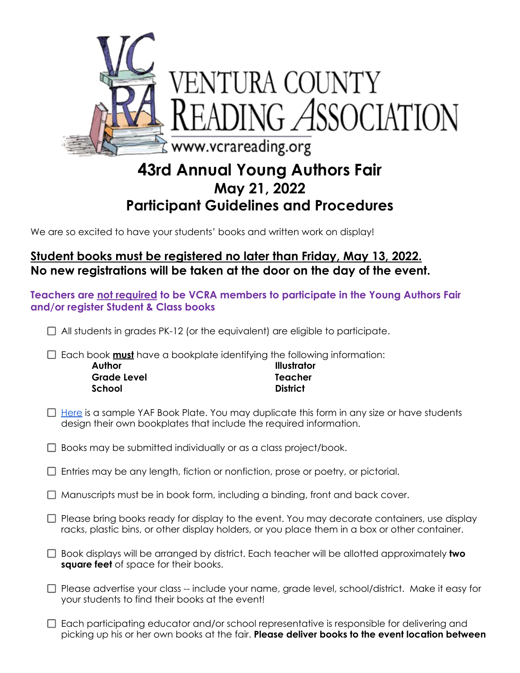

## **43rd Annual Young Authors Fair May 21, 2022 Participant Guidelines and Procedures**

We are so excited to have your students' books and written work on display!

## **Student books must be registered no later than Friday, May 13, 2022. No new registrations will be taken at the door on the day of the event.**

**Teachers are not required to be VCRA members to participate in the Young Authors Fair and/or register Student & Class books**

 $\Box$  All students in grades PK-12 (or the equivalent) are eligible to participate.

□ Each book **must** have a bookplate identifying the following information:

| Author      | <b>Illustrator</b> |
|-------------|--------------------|
| Grade Level | Teacher            |
| School      | <b>District</b>    |

 $\Box$  [Here](https://drive.google.com/file/d/12a0_iJhIAB22SbDGToShJlSUPcWgeaRX/view?usp=sharing) is a sample YAF Book Plate. You may duplicate this form in any size or have students design their own bookplates that include the required information.

 $\Box$  Books may be submitted individually or as a class project/book.

- $\Box$  Entries may be any length, fiction or nonfiction, prose or poetry, or pictorial.
- $\Box$  Manuscripts must be in book form, including a binding, front and back cover.
- $\Box$  Please bring books ready for display to the event. You may decorate containers, use display racks, plastic bins, or other display holders, or you place them in a box or other container.
- Book displays will be arranged by district. Each teacher will be allotted approximately **two square feet** of space for their books.
- □ Please advertise your class -- include your name, grade level, school/district. Make it easy for your students to find their books at the event!
- $\Box$  Each participating educator and/or school representative is responsible for delivering and picking up his or her own books at the fair. **Please deliver books to the event location between**